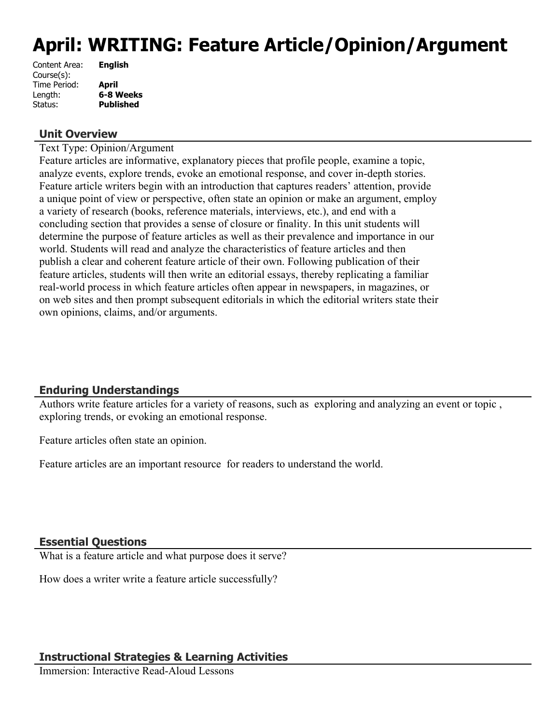# **April: WRITING: Feature Article/Opinion/Argument**

| <b>English</b>   |
|------------------|
|                  |
| <b>April</b>     |
| 6-8 Weeks        |
| <b>Published</b> |
|                  |

#### **Unit Overview**

Text Type: Opinion/Argument

Feature articles are informative, explanatory pieces that profile people, examine a topic, analyze events, explore trends, evoke an emotional response, and cover in-depth stories. Feature article writers begin with an introduction that captures readers' attention, provide a unique point of view or perspective, often state an opinion or make an argument, employ a variety of research (books, reference materials, interviews, etc.), and end with a concluding section that provides a sense of closure or finality. In this unit students will determine the purpose of feature articles as well as their prevalence and importance in our world. Students will read and analyze the characteristics of feature articles and then publish a clear and coherent feature article of their own. Following publication of their feature articles, students will then write an editorial essays, thereby replicating a familiar real-world process in which feature articles often appear in newspapers, in magazines, or on web sites and then prompt subsequent editorials in which the editorial writers state their own opinions, claims, and/or arguments.

# **Enduring Understandings**

Authors write feature articles for a variety of reasons, such as exploring and analyzing an event or topic , exploring trends, or evoking an emotional response.

Feature articles often state an opinion.

Feature articles are an important resource for readers to understand the world.

#### **Essential Questions**

What is a feature article and what purpose does it serve?

How does a writer write a feature article successfully?

# **Instructional Strategies & Learning Activities**

Immersion: Interactive Read-Aloud Lessons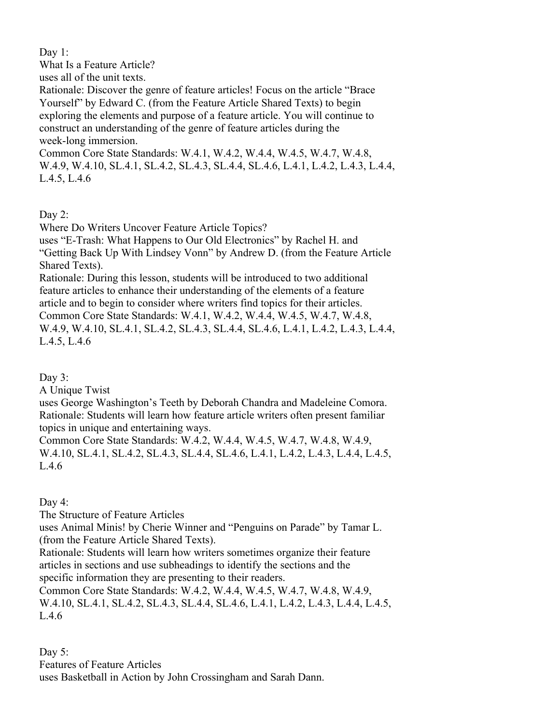Day 1:

What Is a Feature Article?

uses all of the unit texts.

Rationale: Discover the genre of feature articles! Focus on the article "Brace Yourself" by Edward C. (from the Feature Article Shared Texts) to begin exploring the elements and purpose of a feature article. You will continue to construct an understanding of the genre of feature articles during the week-long immersion.

Common Core State Standards: W.4.1, W.4.2, W.4.4, W.4.5, W.4.7, W.4.8, W.4.9, W.4.10, SL.4.1, SL.4.2, SL.4.3, SL.4.4, SL.4.6, L.4.1, L.4.2, L.4.3, L.4.4, L.4.5, L.4.6

Day 2:

Where Do Writers Uncover Feature Article Topics?

uses "E-Trash: What Happens to Our Old Electronics" by Rachel H. and "Getting Back Up With Lindsey Vonn" by Andrew D. (from the Feature Article Shared Texts).

Rationale: During this lesson, students will be introduced to two additional feature articles to enhance their understanding of the elements of a feature article and to begin to consider where writers find topics for their articles. Common Core State Standards: W.4.1, W.4.2, W.4.4, W.4.5, W.4.7, W.4.8, W.4.9, W.4.10, SL.4.1, SL.4.2, SL.4.3, SL.4.4, SL.4.6, L.4.1, L.4.2, L.4.3, L.4.4, L.4.5, L.4.6

Day 3:

A Unique Twist

uses George Washington's Teeth by Deborah Chandra and Madeleine Comora. Rationale: Students will learn how feature article writers often present familiar topics in unique and entertaining ways.

Common Core State Standards: W.4.2, W.4.4, W.4.5, W.4.7, W.4.8, W.4.9, W.4.10, SL.4.1, SL.4.2, SL.4.3, SL.4.4, SL.4.6, L.4.1, L.4.2, L.4.3, L.4.4, L.4.5, L.4.6

Day 4:

The Structure of Feature Articles

uses Animal Minis! by Cherie Winner and "Penguins on Parade" by Tamar L. (from the Feature Article Shared Texts).

Rationale: Students will learn how writers sometimes organize their feature articles in sections and use subheadings to identify the sections and the specific information they are presenting to their readers.

Common Core State Standards: W.4.2, W.4.4, W.4.5, W.4.7, W.4.8, W.4.9, W.4.10, SL.4.1, SL.4.2, SL.4.3, SL.4.4, SL.4.6, L.4.1, L.4.2, L.4.3, L.4.4, L.4.5, L.4.6

Day 5: Features of Feature Articles uses Basketball in Action by John Crossingham and Sarah Dann.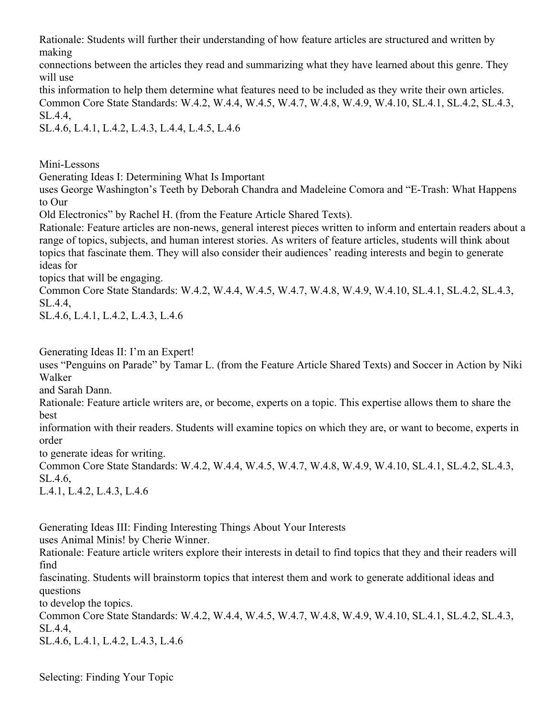Rationale: Students will further their understanding of how feature articles are structured and written by making

connections between the articles they read and summarizing what they have learned about this genre. They will use

this information to help them determine what features need to be included as they write their own articles. Common Core State Standards: W.4.2, W.4.4, W.4.5, W.4.7, W.4.8, W.4.9, W.4.10, SL.4.1, SL.4.2, SL.4.3, SL.4.4,

SL.4.6, L.4.1, L.4.2, L.4.3, L.4.4, L.4.5, L.4.6

Mini-Lessons

Generating Ideas I: Determining What Is Important

uses George Washington's Teeth by Deborah Chandra and Madeleine Comora and "E-Trash: What Happens to Our

Old Electronics" by Rachel H. (from the Feature Article Shared Texts).

Rationale: Feature articles are non-news, general interest pieces written to inform and entertain readers about a range of topics, subjects, and human interest stories. As writers of feature articles, students will think about topics that fascinate them. They will also consider their audiences' reading interests and begin to generate ideas for

topics that will be engaging.

Common Core State Standards: W.4.2, W.4.4, W.4.5, W.4.7, W.4.8, W.4.9, W.4.10, SL.4.1, SL.4.2, SL.4.3, SL.4.4,

SL.4.6, L.4.1, L.4.2, L.4.3, L.4.6

Generating Ideas II: I'm an Expert!

uses "Penguins on Parade" by Tamar L. (from the Feature Article Shared Texts) and Soccer in Action by Niki Walker

and Sarah Dann.

Rationale: Feature article writers are, or become, experts on a topic. This expertise allows them to share the best

information with their readers. Students will examine topics on which they are, or want to become, experts in order

to generate ideas for writing.

Common Core State Standards: W.4.2, W.4.4, W.4.5, W.4.7, W.4.8, W.4.9, W.4.10, SL.4.1, SL.4.2, SL.4.3, SL.4.6,

L.4.1, L.4.2, L.4.3, L.4.6

Generating Ideas III: Finding Interesting Things About Your Interests

uses Animal Minis! by Cherie Winner.

Rationale: Feature article writers explore their interests in detail to find topics that they and their readers will find

fascinating. Students will brainstorm topics that interest them and work to generate additional ideas and questions

to develop the topics.

Common Core State Standards: W.4.2, W.4.4, W.4.5, W.4.7, W.4.8, W.4.9, W.4.10, SL.4.1, SL.4.2, SL.4.3, SL.4.4,

SL.4.6, L.4.1, L.4.2, L.4.3, L.4.6

Selecting: Finding Your Topic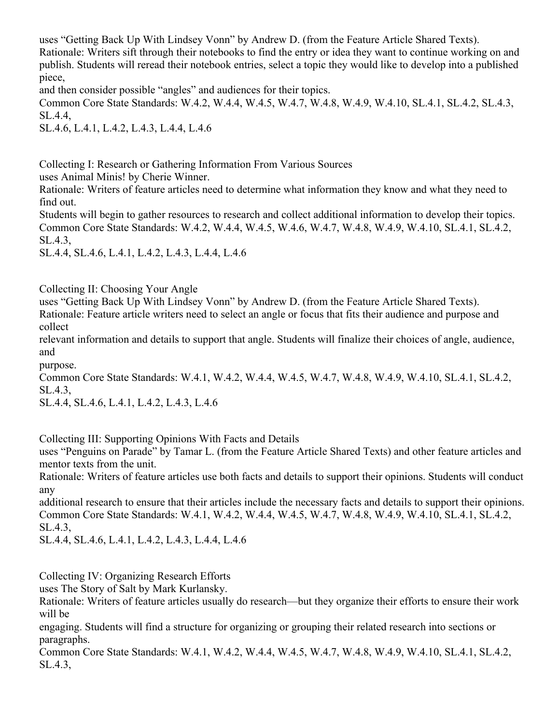uses "Getting Back Up With Lindsey Vonn" by Andrew D. (from the Feature Article Shared Texts).

Rationale: Writers sift through their notebooks to find the entry or idea they want to continue working on and publish. Students will reread their notebook entries, select a topic they would like to develop into a published piece,

and then consider possible "angles" and audiences for their topics.

Common Core State Standards: W.4.2, W.4.4, W.4.5, W.4.7, W.4.8, W.4.9, W.4.10, SL.4.1, SL.4.2, SL.4.3, SL.4.4,

SL.4.6, L.4.1, L.4.2, L.4.3, L.4.4, L.4.6

Collecting I: Research or Gathering Information From Various Sources

uses Animal Minis! by Cherie Winner.

Rationale: Writers of feature articles need to determine what information they know and what they need to find out.

Students will begin to gather resources to research and collect additional information to develop their topics. Common Core State Standards: W.4.2, W.4.4, W.4.5, W.4.6, W.4.7, W.4.8, W.4.9, W.4.10, SL.4.1, SL.4.2, SL.4.3,

SL.4.4, SL.4.6, L.4.1, L.4.2, L.4.3, L.4.4, L.4.6

Collecting II: Choosing Your Angle

uses "Getting Back Up With Lindsey Vonn" by Andrew D. (from the Feature Article Shared Texts). Rationale: Feature article writers need to select an angle or focus that fits their audience and purpose and collect

relevant information and details to support that angle. Students will finalize their choices of angle, audience, and

purpose.

Common Core State Standards: W.4.1, W.4.2, W.4.4, W.4.5, W.4.7, W.4.8, W.4.9, W.4.10, SL.4.1, SL.4.2, SL.4.3,

SL.4.4, SL.4.6, L.4.1, L.4.2, L.4.3, L.4.6

Collecting III: Supporting Opinions With Facts and Details

uses "Penguins on Parade" by Tamar L. (from the Feature Article Shared Texts) and other feature articles and mentor texts from the unit.

Rationale: Writers of feature articles use both facts and details to support their opinions. Students will conduct any

additional research to ensure that their articles include the necessary facts and details to support their opinions. Common Core State Standards: W.4.1, W.4.2, W.4.4, W.4.5, W.4.7, W.4.8, W.4.9, W.4.10, SL.4.1, SL.4.2, SL.4.3,

SL.4.4, SL.4.6, L.4.1, L.4.2, L.4.3, L.4.4, L.4.6

Collecting IV: Organizing Research Efforts

uses The Story of Salt by Mark Kurlansky.

Rationale: Writers of feature articles usually do research—but they organize their efforts to ensure their work will be

engaging. Students will find a structure for organizing or grouping their related research into sections or paragraphs.

Common Core State Standards: W.4.1, W.4.2, W.4.4, W.4.5, W.4.7, W.4.8, W.4.9, W.4.10, SL.4.1, SL.4.2, SL.4.3,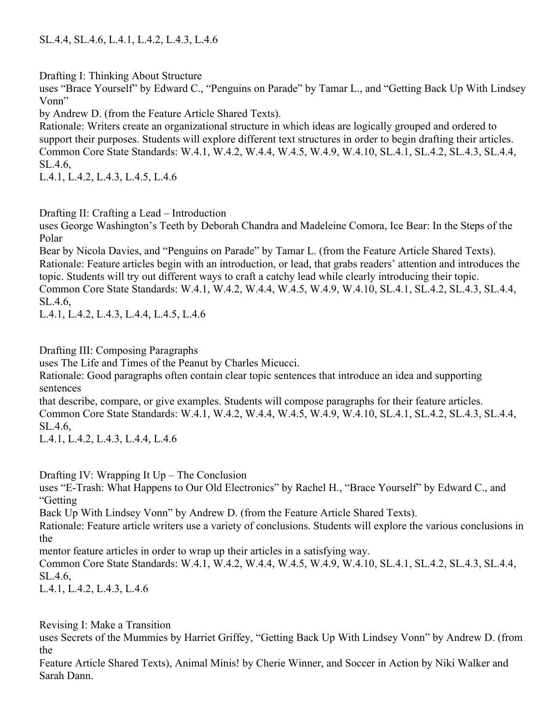Drafting I: Thinking About Structure

uses "Brace Yourself" by Edward C., "Penguins on Parade" by Tamar L., and "Getting Back Up With Lindsey Vonn"

by Andrew D. (from the Feature Article Shared Texts).

Rationale: Writers create an organizational structure in which ideas are logically grouped and ordered to support their purposes. Students will explore different text structures in order to begin drafting their articles. Common Core State Standards: W.4.1, W.4.2, W.4.4, W.4.5, W.4.9, W.4.10, SL.4.1, SL.4.2, SL.4.3, SL.4.4, SL.4.6,

L.4.1, L.4.2, L.4.3, L.4.5, L.4.6

# Drafting II: Crafting a Lead – Introduction

uses George Washington's Teeth by Deborah Chandra and Madeleine Comora, Ice Bear: In the Steps of the Polar

Bear by Nicola Davies, and "Penguins on Parade" by Tamar L. (from the Feature Article Shared Texts). Rationale: Feature articles begin with an introduction, or lead, that grabs readers' attention and introduces the topic. Students will try out different ways to craft a catchy lead while clearly introducing their topic. Common Core State Standards: W.4.1, W.4.2, W.4.4, W.4.5, W.4.9, W.4.10, SL.4.1, SL.4.2, SL.4.3, SL.4.4, SL.4.6,

L.4.1, L.4.2, L.4.3, L.4.4, L.4.5, L.4.6

Drafting III: Composing Paragraphs

uses The Life and Times of the Peanut by Charles Micucci.

Rationale: Good paragraphs often contain clear topic sentences that introduce an idea and supporting sentences

that describe, compare, or give examples. Students will compose paragraphs for their feature articles. Common Core State Standards: W.4.1, W.4.2, W.4.4, W.4.5, W.4.9, W.4.10, SL.4.1, SL.4.2, SL.4.3, SL.4.4, SL.4.6,

L.4.1, L.4.2, L.4.3, L.4.4, L.4.6

Drafting IV: Wrapping It Up – The Conclusion

uses "E-Trash: What Happens to Our Old Electronics" by Rachel H., "Brace Yourself" by Edward C., and "Getting

Back Up With Lindsey Vonn" by Andrew D. (from the Feature Article Shared Texts).

Rationale: Feature article writers use a variety of conclusions. Students will explore the various conclusions in the

mentor feature articles in order to wrap up their articles in a satisfying way.

Common Core State Standards: W.4.1, W.4.2, W.4.4, W.4.5, W.4.9, W.4.10, SL.4.1, SL.4.2, SL.4.3, SL.4.4, SL.4.6,

L.4.1, L.4.2, L.4.3, L.4.6

Revising I: Make a Transition

uses Secrets of the Mummies by Harriet Griffey, "Getting Back Up With Lindsey Vonn" by Andrew D. (from the

Feature Article Shared Texts), Animal Minis! by Cherie Winner, and Soccer in Action by Niki Walker and Sarah Dann.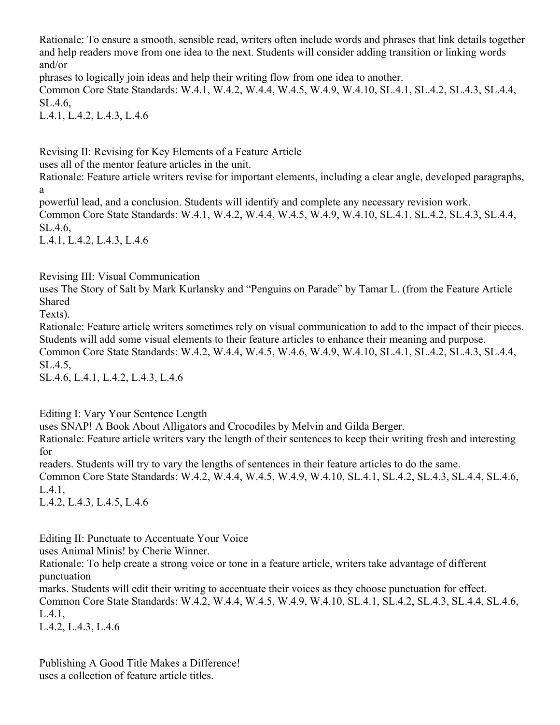Rationale: To ensure a smooth, sensible read, writers often include words and phrases that link details together and help readers move from one idea to the next. Students will consider adding transition or linking words and/or

phrases to logically join ideas and help their writing flow from one idea to another.

Common Core State Standards: W.4.1, W.4.2, W.4.4, W.4.5, W.4.9, W.4.10, SL.4.1, SL.4.2, SL.4.3, SL.4.4, SL.4.6,

L.4.1, L.4.2, L.4.3, L.4.6

Revising II: Revising for Key Elements of a Feature Article

uses all of the mentor feature articles in the unit.

Rationale: Feature article writers revise for important elements, including a clear angle, developed paragraphs, a

powerful lead, and a conclusion. Students will identify and complete any necessary revision work. Common Core State Standards: W.4.1, W.4.2, W.4.4, W.4.5, W.4.9, W.4.10, SL.4.1, SL.4.2, SL.4.3, SL.4.4, SL.4.6,

L.4.1, L.4.2, L.4.3, L.4.6

Revising III: Visual Communication

uses The Story of Salt by Mark Kurlansky and "Penguins on Parade" by Tamar L. (from the Feature Article Shared

Texts).

Rationale: Feature article writers sometimes rely on visual communication to add to the impact of their pieces. Students will add some visual elements to their feature articles to enhance their meaning and purpose. Common Core State Standards: W.4.2, W.4.4, W.4.5, W.4.6, W.4.9, W.4.10, SL.4.1, SL.4.2, SL.4.3, SL.4.4, SL.4.5,

SL.4.6, L.4.1, L.4.2, L.4.3, L.4.6

Editing I: Vary Your Sentence Length

uses SNAP! A Book About Alligators and Crocodiles by Melvin and Gilda Berger.

Rationale: Feature article writers vary the length of their sentences to keep their writing fresh and interesting for

readers. Students will try to vary the lengths of sentences in their feature articles to do the same.

Common Core State Standards: W.4.2, W.4.4, W.4.5, W.4.9, W.4.10, SL.4.1, SL.4.2, SL.4.3, SL.4.4, SL.4.6, L.4.1,

L.4.2, L.4.3, L.4.5, L.4.6

Editing II: Punctuate to Accentuate Your Voice

uses Animal Minis! by Cherie Winner.

Rationale: To help create a strong voice or tone in a feature article, writers take advantage of different punctuation

marks. Students will edit their writing to accentuate their voices as they choose punctuation for effect. Common Core State Standards: W.4.2, W.4.4, W.4.5, W.4.9, W.4.10, SL.4.1, SL.4.2, SL.4.3, SL.4.4, SL.4.6, L.4.1,

L.4.2, L.4.3, L.4.6

Publishing A Good Title Makes a Difference! uses a collection of feature article titles.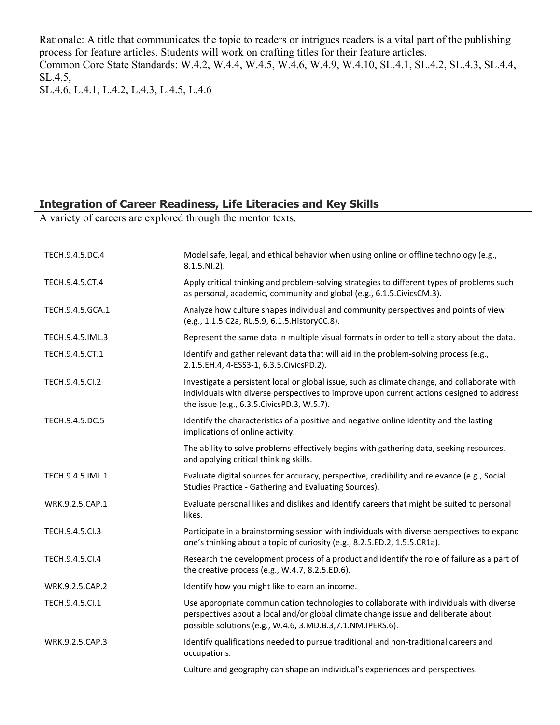Rationale: A title that communicates the topic to readers or intrigues readers is a vital part of the publishing process for feature articles. Students will work on crafting titles for their feature articles. Common Core State Standards: W.4.2, W.4.4, W.4.5, W.4.6, W.4.9, W.4.10, SL.4.1, SL.4.2, SL.4.3, SL.4.4, SL.4.5,

SL.4.6, L.4.1, L.4.2, L.4.3, L.4.5, L.4.6

# **Integration of Career Readiness, Life Literacies and Key Skills**

A variety of careers are explored through the mentor texts.

| TECH.9.4.5.DC.4  | Model safe, legal, and ethical behavior when using online or offline technology (e.g.,<br>$8.1.5.NI.2$ ).                                                                                                                                    |
|------------------|----------------------------------------------------------------------------------------------------------------------------------------------------------------------------------------------------------------------------------------------|
| TECH.9.4.5.CT.4  | Apply critical thinking and problem-solving strategies to different types of problems such<br>as personal, academic, community and global (e.g., 6.1.5.CivicsCM.3).                                                                          |
| TECH.9.4.5.GCA.1 | Analyze how culture shapes individual and community perspectives and points of view<br>(e.g., 1.1.5.C2a, RL.5.9, 6.1.5. HistoryCC.8).                                                                                                        |
| TECH.9.4.5.IML.3 | Represent the same data in multiple visual formats in order to tell a story about the data.                                                                                                                                                  |
| TECH.9.4.5.CT.1  | Identify and gather relevant data that will aid in the problem-solving process (e.g.,<br>2.1.5.EH.4, 4-ESS3-1, 6.3.5.CivicsPD.2).                                                                                                            |
| TECH.9.4.5.Cl.2  | Investigate a persistent local or global issue, such as climate change, and collaborate with<br>individuals with diverse perspectives to improve upon current actions designed to address<br>the issue (e.g., 6.3.5. Civics PD.3, W.5.7).    |
| TECH.9.4.5.DC.5  | Identify the characteristics of a positive and negative online identity and the lasting<br>implications of online activity.                                                                                                                  |
|                  | The ability to solve problems effectively begins with gathering data, seeking resources,<br>and applying critical thinking skills.                                                                                                           |
| TECH.9.4.5.IML.1 | Evaluate digital sources for accuracy, perspective, credibility and relevance (e.g., Social<br>Studies Practice - Gathering and Evaluating Sources).                                                                                         |
| WRK.9.2.5.CAP.1  | Evaluate personal likes and dislikes and identify careers that might be suited to personal<br>likes.                                                                                                                                         |
| TECH.9.4.5.Cl.3  | Participate in a brainstorming session with individuals with diverse perspectives to expand<br>one's thinking about a topic of curiosity (e.g., 8.2.5.ED.2, 1.5.5.CR1a).                                                                     |
| TECH.9.4.5.CI.4  | Research the development process of a product and identify the role of failure as a part of<br>the creative process (e.g., W.4.7, 8.2.5.ED.6).                                                                                               |
| WRK.9.2.5.CAP.2  | Identify how you might like to earn an income.                                                                                                                                                                                               |
| TECH.9.4.5.Cl.1  | Use appropriate communication technologies to collaborate with individuals with diverse<br>perspectives about a local and/or global climate change issue and deliberate about<br>possible solutions (e.g., W.4.6, 3.MD.B.3, 7.1.NM.IPERS.6). |
| WRK.9.2.5.CAP.3  | Identify qualifications needed to pursue traditional and non-traditional careers and<br>occupations.                                                                                                                                         |
|                  | Culture and geography can shape an individual's experiences and perspectives.                                                                                                                                                                |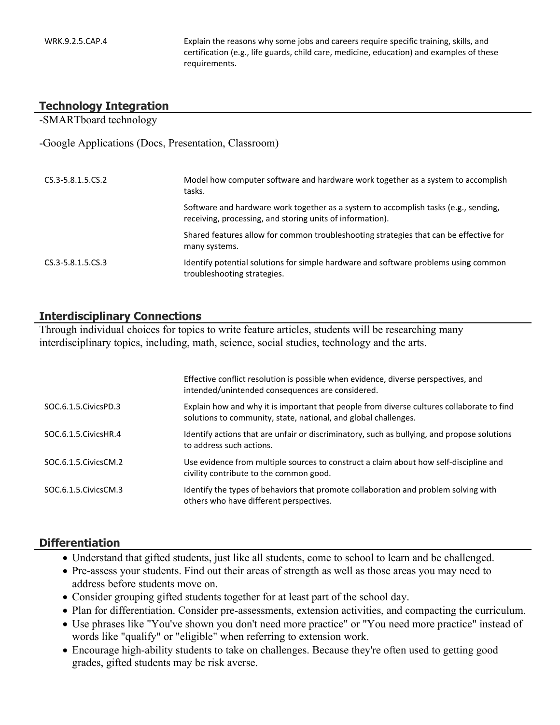WRK.9.2.5.CAP.4 Explain the reasons why some jobs and careers require specific training, skills, and certification (e.g., life guards, child care, medicine, education) and examples of these requirements.

#### **Technology Integration**

-SMARTboard technology

-Google Applications (Docs, Presentation, Classroom)

| $CS.3 - 5.8.1.5.CS.2$ | Model how computer software and hardware work together as a system to accomplish<br>tasks.                                                       |
|-----------------------|--------------------------------------------------------------------------------------------------------------------------------------------------|
|                       | Software and hardware work together as a system to accomplish tasks (e.g., sending,<br>receiving, processing, and storing units of information). |
|                       | Shared features allow for common troubleshooting strategies that can be effective for<br>many systems.                                           |
| $CS.3 - 5.8.1.5.CS.3$ | Identify potential solutions for simple hardware and software problems using common<br>troubleshooting strategies.                               |

#### **Interdisciplinary Connections**

Through individual choices for topics to write feature articles, students will be researching many interdisciplinary topics, including, math, science, social studies, technology and the arts.

|                        | Effective conflict resolution is possible when evidence, diverse perspectives, and<br>intended/unintended consequences are considered.                       |
|------------------------|--------------------------------------------------------------------------------------------------------------------------------------------------------------|
| SOC.6.1.5. Civics PD.3 | Explain how and why it is important that people from diverse cultures collaborate to find<br>solutions to community, state, national, and global challenges. |
| SOC.6.1.5. Civics HR.4 | Identify actions that are unfair or discriminatory, such as bullying, and propose solutions<br>to address such actions.                                      |
| SOC.6.1.5. Civics CM.2 | Use evidence from multiple sources to construct a claim about how self-discipline and<br>civility contribute to the common good.                             |
| SOC.6.1.5. Civics CM.3 | Identify the types of behaviors that promote collaboration and problem solving with<br>others who have different perspectives.                               |

#### **Differentiation**

- Understand that gifted students, just like all students, come to school to learn and be challenged.
- Pre-assess your students. Find out their areas of strength as well as those areas you may need to address before students move on.
- Consider grouping gifted students together for at least part of the school day.
- Plan for differentiation. Consider pre-assessments, extension activities, and compacting the curriculum.
- Use phrases like "You've shown you don't need more practice" or "You need more practice" instead of words like "qualify" or "eligible" when referring to extension work.
- Encourage high-ability students to take on challenges. Because they're often used to getting good grades, gifted students may be risk averse.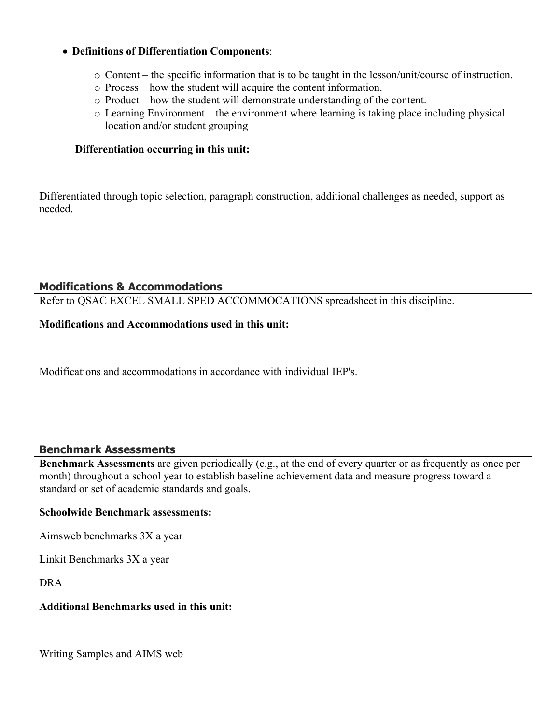#### **Definitions of Differentiation Components**:

- o Content the specific information that is to be taught in the lesson/unit/course of instruction.
- o Process how the student will acquire the content information.
- o Product how the student will demonstrate understanding of the content.
- o Learning Environment the environment where learning is taking place including physical location and/or student grouping

#### **Differentiation occurring in this unit:**

Differentiated through topic selection, paragraph construction, additional challenges as needed, support as needed.

#### **Modifications & Accommodations**

Refer to QSAC EXCEL SMALL SPED ACCOMMOCATIONS spreadsheet in this discipline.

#### **Modifications and Accommodations used in this unit:**

Modifications and accommodations in accordance with individual IEP's.

#### **Benchmark Assessments**

**Benchmark Assessments** are given periodically (e.g., at the end of every quarter or as frequently as once per month) throughout a school year to establish baseline achievement data and measure progress toward a standard or set of academic standards and goals.

#### **Schoolwide Benchmark assessments:**

Aimsweb benchmarks 3X a year

Linkit Benchmarks 3X a year

DRA

#### **Additional Benchmarks used in this unit:**

Writing Samples and AIMS web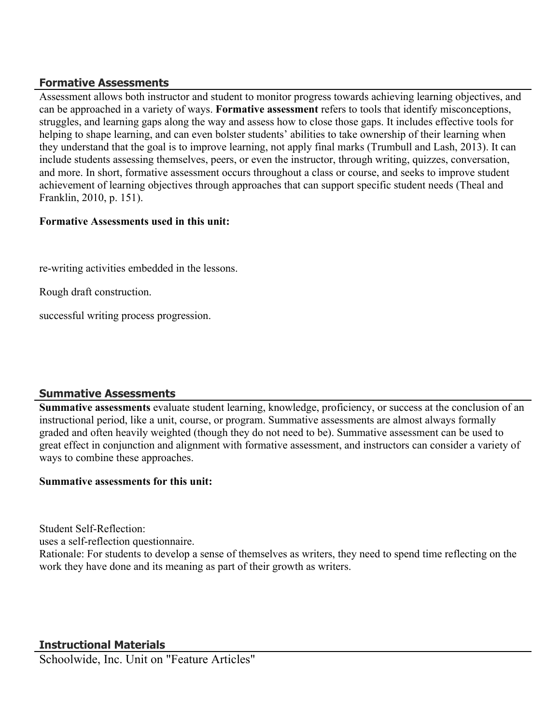## **Formative Assessments**

Assessment allows both instructor and student to monitor progress towards achieving learning objectives, and can be approached in a variety of ways. **Formative assessment** refers to tools that identify misconceptions, struggles, and learning gaps along the way and assess how to close those gaps. It includes effective tools for helping to shape learning, and can even bolster students' abilities to take ownership of their learning when they understand that the goal is to improve learning, not apply final marks (Trumbull and Lash, 2013). It can include students assessing themselves, peers, or even the instructor, through writing, quizzes, conversation, and more. In short, formative assessment occurs throughout a class or course, and seeks to improve student achievement of learning objectives through approaches that can support specific student needs (Theal and Franklin, 2010, p. 151).

### **Formative Assessments used in this unit:**

re-writing activities embedded in the lessons.

Rough draft construction.

successful writing process progression.

# **Summative Assessments**

**Summative assessments** evaluate student learning, knowledge, proficiency, or success at the conclusion of an instructional period, like a unit, course, or program. Summative assessments are almost always formally graded and often heavily weighted (though they do not need to be). Summative assessment can be used to great effect in conjunction and alignment with formative assessment, and instructors can consider a variety of ways to combine these approaches.

#### **Summative assessments for this unit:**

Student Self-Reflection:

uses a self-reflection questionnaire.

Rationale: For students to develop a sense of themselves as writers, they need to spend time reflecting on the work they have done and its meaning as part of their growth as writers.

# **Instructional Materials**

Schoolwide, Inc. Unit on "Feature Articles"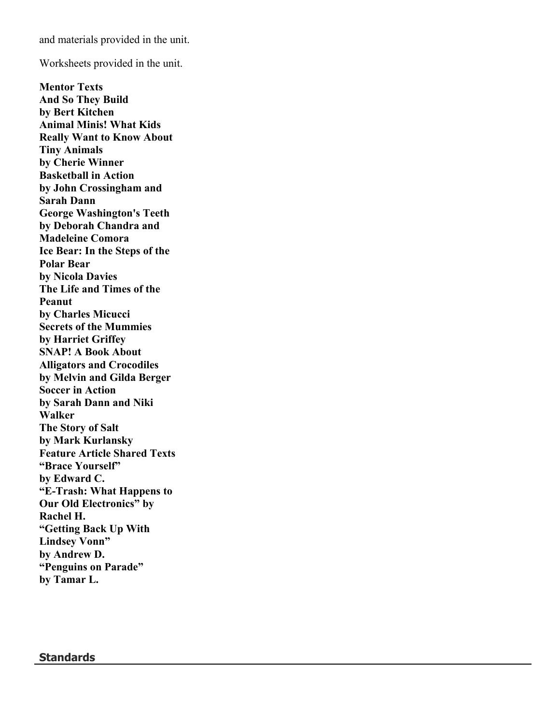and materials provided in the unit.

Worksheets provided in the unit.

**Mentor Texts And So They Build by Bert Kitchen Animal Minis! What Kids Really Want to Know About Tiny Animals by Cherie Winner Basketball in Action by John Crossingham and Sarah Dann George Washington's Teeth by Deborah Chandra and Madeleine Comora Ice Bear: In the Steps of the Polar Bear by Nicola Davies The Life and Times of the Peanut by Charles Micucci Secrets of the Mummies by Harriet Griffey SNAP! A Book About Alligators and Crocodiles by Melvin and Gilda Berger Soccer in Action by Sarah Dann and Niki Walker The Story of Salt by Mark Kurlansky Feature Article Shared Texts "Brace Yourself" by Edward C. "E-Trash: What Happens to Our Old Electronics" by Rachel H. "Getting Back Up With Lindsey Vonn" by Andrew D. "Penguins on Parade" by Tamar L.**

**Standards**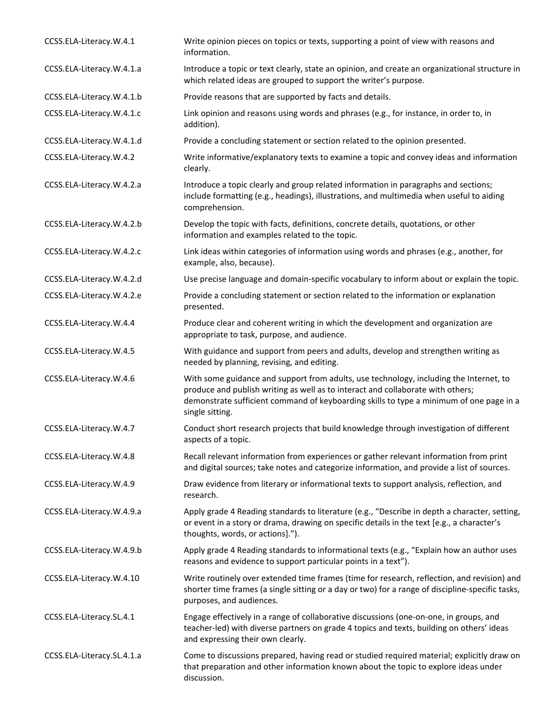| CCSS.ELA-Literacy.W.4.1    | Write opinion pieces on topics or texts, supporting a point of view with reasons and<br>information.                                                                                                                                                                                    |
|----------------------------|-----------------------------------------------------------------------------------------------------------------------------------------------------------------------------------------------------------------------------------------------------------------------------------------|
| CCSS.ELA-Literacy.W.4.1.a  | Introduce a topic or text clearly, state an opinion, and create an organizational structure in<br>which related ideas are grouped to support the writer's purpose.                                                                                                                      |
| CCSS.ELA-Literacy.W.4.1.b  | Provide reasons that are supported by facts and details.                                                                                                                                                                                                                                |
| CCSS.ELA-Literacy.W.4.1.c  | Link opinion and reasons using words and phrases (e.g., for instance, in order to, in<br>addition).                                                                                                                                                                                     |
| CCSS.ELA-Literacy.W.4.1.d  | Provide a concluding statement or section related to the opinion presented.                                                                                                                                                                                                             |
| CCSS.ELA-Literacy.W.4.2    | Write informative/explanatory texts to examine a topic and convey ideas and information<br>clearly.                                                                                                                                                                                     |
| CCSS.ELA-Literacy.W.4.2.a  | Introduce a topic clearly and group related information in paragraphs and sections;<br>include formatting (e.g., headings), illustrations, and multimedia when useful to aiding<br>comprehension.                                                                                       |
| CCSS.ELA-Literacy.W.4.2.b  | Develop the topic with facts, definitions, concrete details, quotations, or other<br>information and examples related to the topic.                                                                                                                                                     |
| CCSS.ELA-Literacy.W.4.2.c  | Link ideas within categories of information using words and phrases (e.g., another, for<br>example, also, because).                                                                                                                                                                     |
| CCSS.ELA-Literacy.W.4.2.d  | Use precise language and domain-specific vocabulary to inform about or explain the topic.                                                                                                                                                                                               |
| CCSS.ELA-Literacy.W.4.2.e  | Provide a concluding statement or section related to the information or explanation<br>presented.                                                                                                                                                                                       |
| CCSS.ELA-Literacy.W.4.4    | Produce clear and coherent writing in which the development and organization are<br>appropriate to task, purpose, and audience.                                                                                                                                                         |
| CCSS.ELA-Literacy.W.4.5    | With guidance and support from peers and adults, develop and strengthen writing as<br>needed by planning, revising, and editing.                                                                                                                                                        |
| CCSS.ELA-Literacy.W.4.6    | With some guidance and support from adults, use technology, including the Internet, to<br>produce and publish writing as well as to interact and collaborate with others;<br>demonstrate sufficient command of keyboarding skills to type a minimum of one page in a<br>single sitting. |
| CCSS.ELA-Literacy.W.4.7    | Conduct short research projects that build knowledge through investigation of different<br>aspects of a topic.                                                                                                                                                                          |
| CCSS.ELA-Literacy.W.4.8    | Recall relevant information from experiences or gather relevant information from print<br>and digital sources; take notes and categorize information, and provide a list of sources.                                                                                                    |
| CCSS.ELA-Literacy.W.4.9    | Draw evidence from literary or informational texts to support analysis, reflection, and<br>research.                                                                                                                                                                                    |
| CCSS.ELA-Literacy.W.4.9.a  | Apply grade 4 Reading standards to literature (e.g., "Describe in depth a character, setting,<br>or event in a story or drama, drawing on specific details in the text [e.g., a character's<br>thoughts, words, or actions].").                                                         |
| CCSS.ELA-Literacy.W.4.9.b  | Apply grade 4 Reading standards to informational texts (e.g., "Explain how an author uses<br>reasons and evidence to support particular points in a text").                                                                                                                             |
| CCSS.ELA-Literacy.W.4.10   | Write routinely over extended time frames (time for research, reflection, and revision) and<br>shorter time frames (a single sitting or a day or two) for a range of discipline-specific tasks,<br>purposes, and audiences.                                                             |
| CCSS.ELA-Literacy.SL.4.1   | Engage effectively in a range of collaborative discussions (one-on-one, in groups, and<br>teacher-led) with diverse partners on grade 4 topics and texts, building on others' ideas<br>and expressing their own clearly.                                                                |
| CCSS.ELA-Literacy.SL.4.1.a | Come to discussions prepared, having read or studied required material; explicitly draw on<br>that preparation and other information known about the topic to explore ideas under<br>discussion.                                                                                        |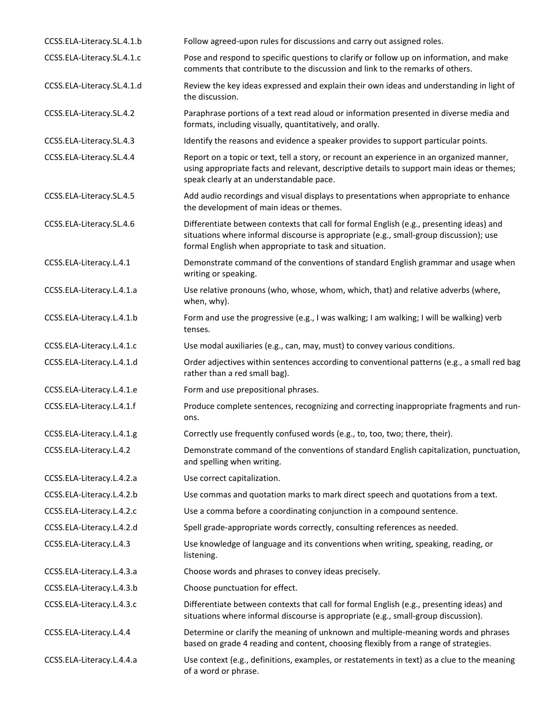| CCSS.ELA-Literacy.SL.4.1.b | Follow agreed-upon rules for discussions and carry out assigned roles.                                                                                                                                                                       |
|----------------------------|----------------------------------------------------------------------------------------------------------------------------------------------------------------------------------------------------------------------------------------------|
| CCSS.ELA-Literacy.SL.4.1.c | Pose and respond to specific questions to clarify or follow up on information, and make<br>comments that contribute to the discussion and link to the remarks of others.                                                                     |
| CCSS.ELA-Literacy.SL.4.1.d | Review the key ideas expressed and explain their own ideas and understanding in light of<br>the discussion.                                                                                                                                  |
| CCSS.ELA-Literacy.SL.4.2   | Paraphrase portions of a text read aloud or information presented in diverse media and<br>formats, including visually, quantitatively, and orally.                                                                                           |
| CCSS.ELA-Literacy.SL.4.3   | Identify the reasons and evidence a speaker provides to support particular points.                                                                                                                                                           |
| CCSS.ELA-Literacy.SL.4.4   | Report on a topic or text, tell a story, or recount an experience in an organized manner,<br>using appropriate facts and relevant, descriptive details to support main ideas or themes;<br>speak clearly at an understandable pace.          |
| CCSS.ELA-Literacy.SL.4.5   | Add audio recordings and visual displays to presentations when appropriate to enhance<br>the development of main ideas or themes.                                                                                                            |
| CCSS.ELA-Literacy.SL.4.6   | Differentiate between contexts that call for formal English (e.g., presenting ideas) and<br>situations where informal discourse is appropriate (e.g., small-group discussion); use<br>formal English when appropriate to task and situation. |
| CCSS.ELA-Literacy.L.4.1    | Demonstrate command of the conventions of standard English grammar and usage when<br>writing or speaking.                                                                                                                                    |
| CCSS.ELA-Literacy.L.4.1.a  | Use relative pronouns (who, whose, whom, which, that) and relative adverbs (where,<br>when, why).                                                                                                                                            |
| CCSS.ELA-Literacy.L.4.1.b  | Form and use the progressive (e.g., I was walking; I am walking; I will be walking) verb<br>tenses.                                                                                                                                          |
| CCSS.ELA-Literacy.L.4.1.c  | Use modal auxiliaries (e.g., can, may, must) to convey various conditions.                                                                                                                                                                   |
| CCSS.ELA-Literacy.L.4.1.d  | Order adjectives within sentences according to conventional patterns (e.g., a small red bag<br>rather than a red small bag).                                                                                                                 |
| CCSS.ELA-Literacy.L.4.1.e  | Form and use prepositional phrases.                                                                                                                                                                                                          |
| CCSS.ELA-Literacy.L.4.1.f  | Produce complete sentences, recognizing and correcting inappropriate fragments and run-<br>ons.                                                                                                                                              |
| CCSS.ELA-Literacy.L.4.1.g  | Correctly use frequently confused words (e.g., to, too, two; there, their).                                                                                                                                                                  |
| CCSS.ELA-Literacy.L.4.2    | Demonstrate command of the conventions of standard English capitalization, punctuation,<br>and spelling when writing.                                                                                                                        |
| CCSS.ELA-Literacy.L.4.2.a  | Use correct capitalization.                                                                                                                                                                                                                  |
| CCSS.ELA-Literacy.L.4.2.b  | Use commas and quotation marks to mark direct speech and quotations from a text.                                                                                                                                                             |
| CCSS.ELA-Literacy.L.4.2.c  | Use a comma before a coordinating conjunction in a compound sentence.                                                                                                                                                                        |
| CCSS.ELA-Literacy.L.4.2.d  | Spell grade-appropriate words correctly, consulting references as needed.                                                                                                                                                                    |
| CCSS.ELA-Literacy.L.4.3    | Use knowledge of language and its conventions when writing, speaking, reading, or<br>listening.                                                                                                                                              |
| CCSS.ELA-Literacy.L.4.3.a  | Choose words and phrases to convey ideas precisely.                                                                                                                                                                                          |
| CCSS.ELA-Literacy.L.4.3.b  | Choose punctuation for effect.                                                                                                                                                                                                               |
| CCSS.ELA-Literacy.L.4.3.c  | Differentiate between contexts that call for formal English (e.g., presenting ideas) and<br>situations where informal discourse is appropriate (e.g., small-group discussion).                                                               |
| CCSS.ELA-Literacy.L.4.4    | Determine or clarify the meaning of unknown and multiple-meaning words and phrases<br>based on grade 4 reading and content, choosing flexibly from a range of strategies.                                                                    |
| CCSS.ELA-Literacy.L.4.4.a  | Use context (e.g., definitions, examples, or restatements in text) as a clue to the meaning<br>of a word or phrase.                                                                                                                          |